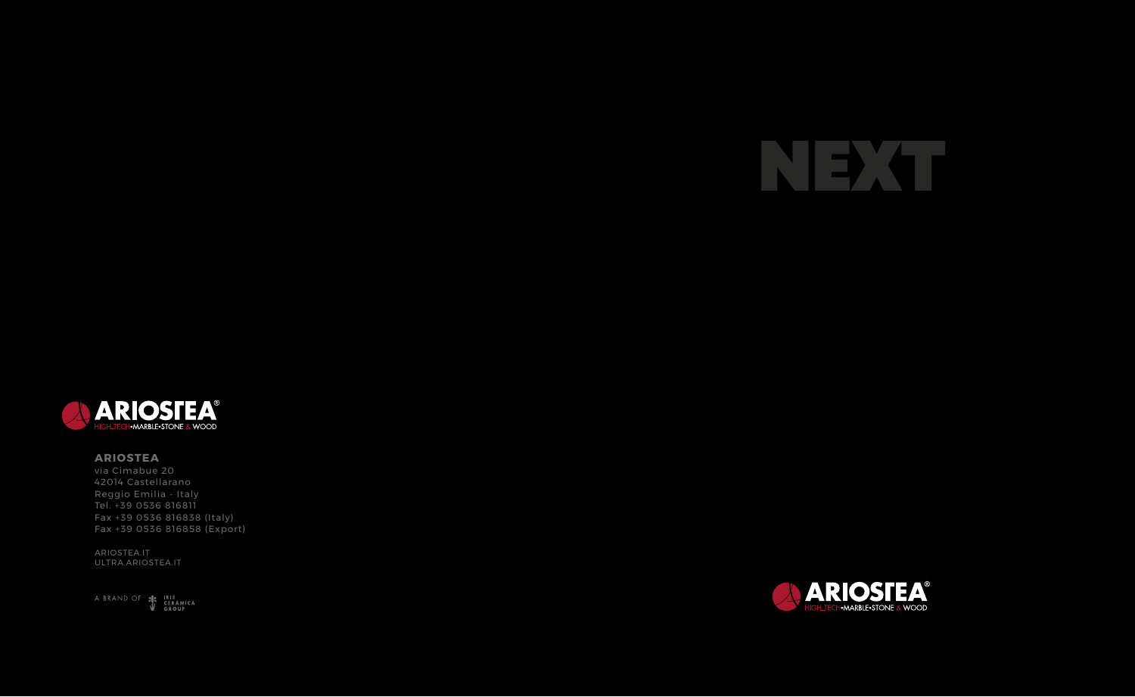ARIOSTEA.IT ULTRA.ARIOSTEA.IT

A BRAND OF SERAMICA







## **ARIOSTEA**

via Cimabue 20 42014 Castellarano Reggio Emilia - Italy Tel. +39 0536 816811 Fax +39 0536 816838 (Italy) Fax +39 0536 816858 (Export)

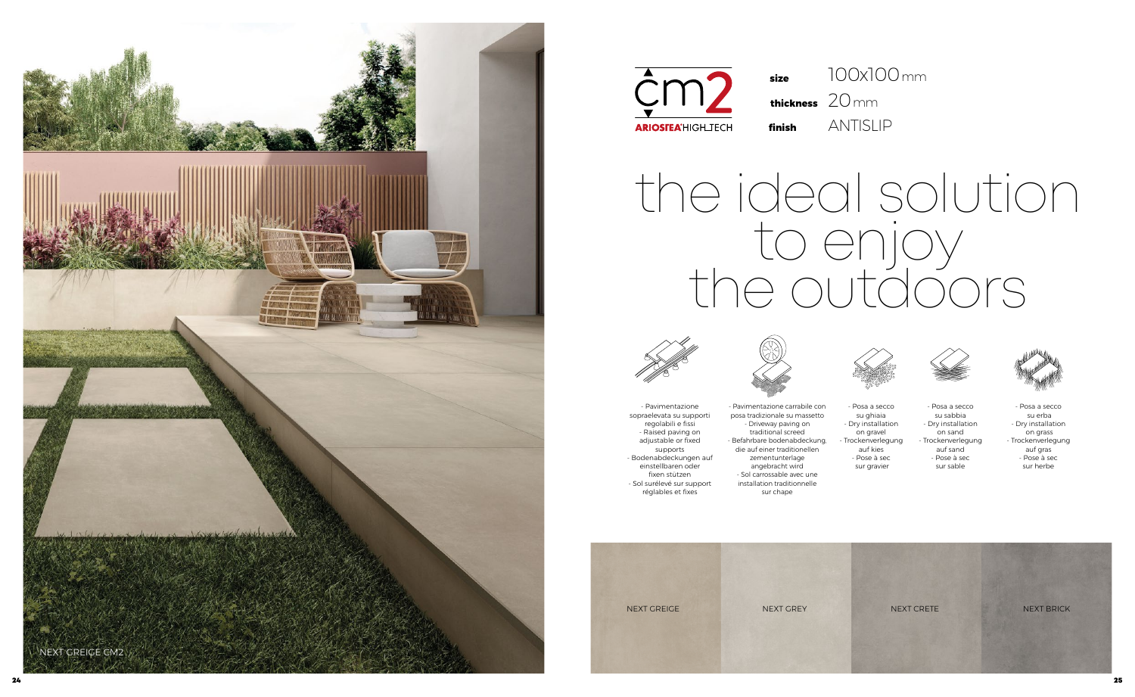- Posa a secco su ghiaia - Dry installation on gravel - Trockenverlegung auf kies - Pose à sec sur gravier



- Posa a secco su sabbia - Dry installation on sand - Trockenverlegung auf sand - Pose à sec sur sable



- Posa a secco su erba - Dry installation on grass - Trockenverlegung auf gras - Pose à sec sur herbe

- Pavimentazione sopraelevata su supporti regolabili e fissi - Raised paving on adjustable or fixed supports - Bodenabdeckungen auf einstellbaren oder fixen stützen - Sol surélevé sur support réglables et fixes

- Pavimentazione carrabile con posa tradizionale su massetto - Driveway paving on traditional screed - Befahrbare bodenabdeckung, die auf einer traditionellen zementunterlage angebracht wird - Sol carrossable avec une installation traditionnelle sur chape

# the ideal solution to enjoy the outdoors





## **finish** ANTISLIP 20 mm **thickness** 100x100 mm

**size**





**ARIOSTEA<sup>®</sup>HIGHLIECH**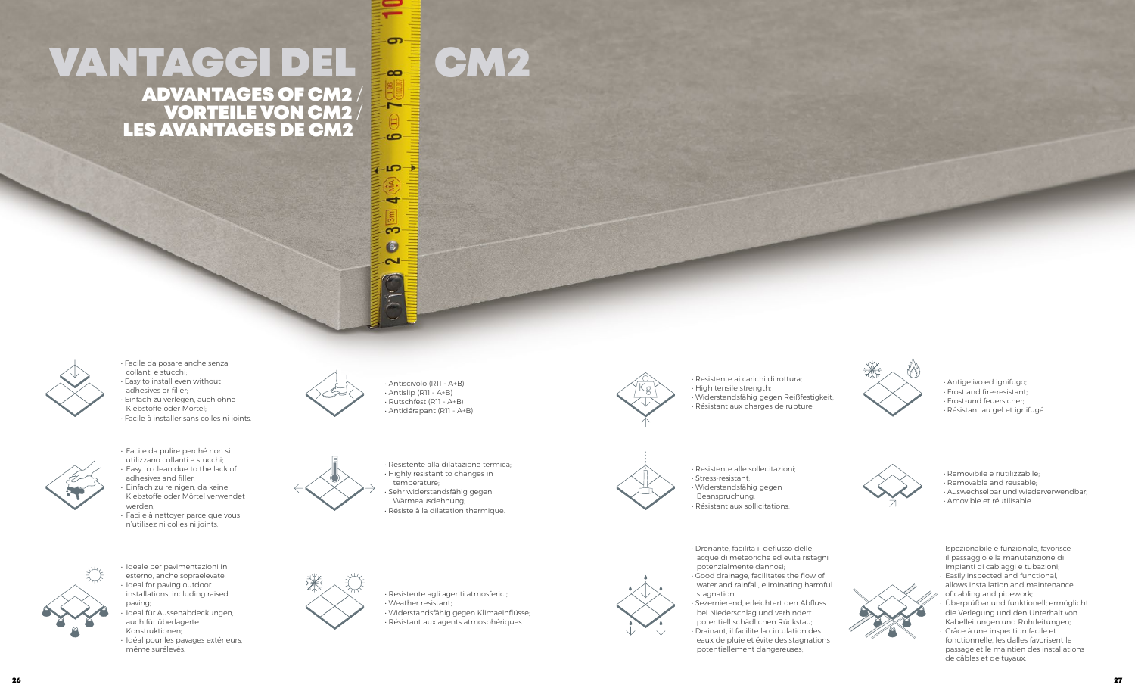# VANTAGGI DEL LE CM2 ADVANTAGES OF CM2 / VORTEILE VON CM2 / LES AVANTAGES DE CM2

 $\sigma$ 

 $\overline{ }$ 

 $\overline{c}$ 

 $-CD$ 

ď

က  $\boldsymbol{\omega}$  $\sim$ 



- Antigelivo ed ignifugo;
- Frost and fire-resistant;
- Frost-und feuersicher;
- Résistant au gel et ignifugé.



• Resistente ai carichi di rottura; • High tensile strength; • Widerstandsfähig gegen Reißfestigkeit; • Résistant aux charges de rupture.



- Removibile e riutilizzabile;
- Removable and reusable;
- Auswechselbar und wiederverwendbar;
- Amovible et réutilisable.

• Resistente alle sollecitazioni; • Stress-resistant; • Widerstandsfähig gegen Beanspruchung; • Résistant aux sollicitations.



Resistente agli agenti atmosferici; • Weather resistant;

- Ispezionabile e funzionale, favorisce il passaggio e la manutenzione di impianti di cablaggi e tubazioni;
- Easily inspected and functional, allows installation and maintenance of cabling and pipework;
- Überprüfbar und funktionell; ermöglicht die Verlegung und den Unterhalt von Kabelleitungen und Rohrleitungen;
- Grâce à une inspection facile et fonctionnelle, les dalles favorisent le passage et le maintien des installations de câbles et de tuyaux.

• Resistente alla dilatazione termica; • Highly resistant to changes in temperature; Sehr widerstandsfähig gegen Wärmeausdehnung; Résiste à la dilatation thermique.



• Facile da pulire perché non si utilizzano collanti e stucchi; Easy to clean due to the lack of

> • Drenante, facilita il deflusso delle acque di meteoriche ed evita ristagni potenzialmente dannosi; • Good drainage, facilitates the flow of water and rainfall, eliminating harmful

stagnation; • Sezernierend, erleichtert den Abfluss bei Niederschlag und verhindert potentiell schädlichen Rückstau; • Drainant, il facilite la circulation des eaux de pluie et évite des stagnations potentiellement dangereuses;





• Widerstandsfähig gegen Klimaeinflüsse;

• Résistant aux agents atmosphériques.

• Ideale per pavimentazioni in esterno, anche sopraelevate; • Ideal for paving outdoor installations, including raised

paving;

• Ideal für Aussenabdeckungen,

auch für überlagerte Konstruktionen;

• Idéal pour les pavages extérieurs,

même surélevés.

adhesives and filler;





• Einfach zu reinigen, da keine Klebstoffe oder Mörtel verwendet

werden;

• Facile à nettoyer parce que vous n'utilisez ni colles ni joints.

• Antiscivolo (R11 - A+B) • Antislip (R11 - A+B) • Rutschfest (R11 - A+B) • Antidérapant (R11 - A+B)



• Facile da posare anche senza collanti e stucchi; • Easy to install even without adhesives or filler; • Einfach zu verlegen, auch ohne

- Klebstoffe oder Mörtel;
- Facile à installer sans colles ni joints.

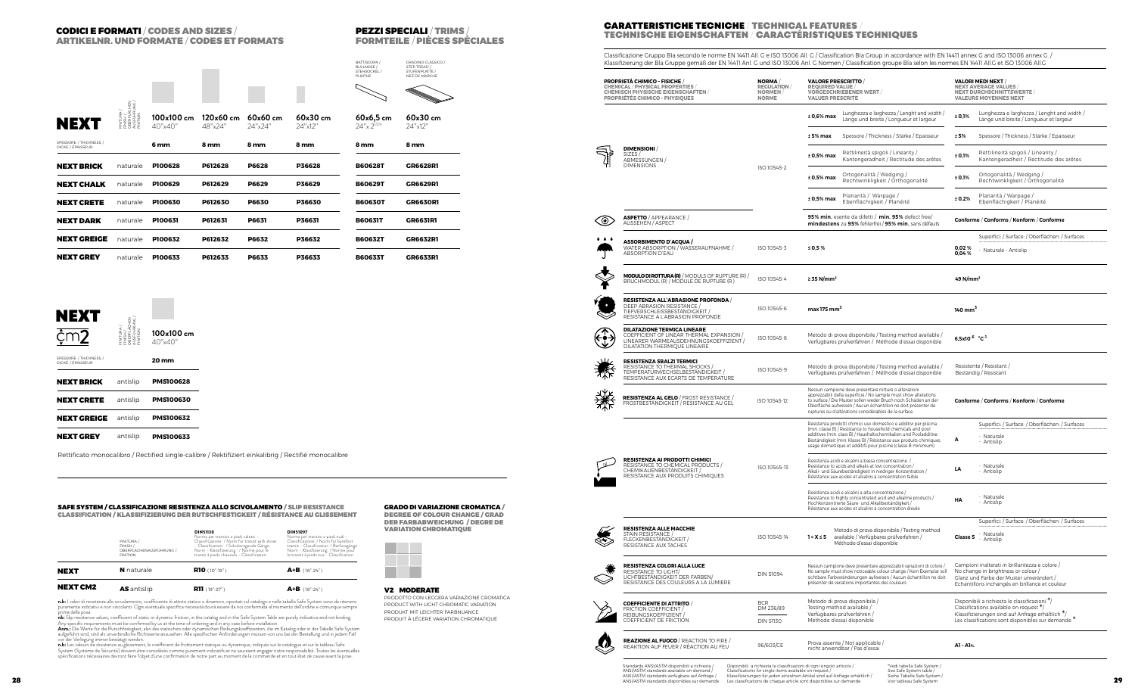## CODICI E FORMATI / CODES AND SIZES / ARTIKELNR. UND FORMATE / CODES ET FORMATS

#### GRADO DI VARIAZIONE CROMATICA / DEGREE OF COLOUR CHANGE / GRAD



#### SAFE SYSTEM / CLASSIFICAZIONE RESISTENZA ALLO SCIVOLAMENTO / SLIP RESISTANCE CLASSIFICATION / KLASSIFIZIERUNG DER RUTSCHFESTIGKEIT / RÉSISTANCE AU GLISSEMENT

## PEZZI SPECIALI / TRIMS / FORMTEILE / PIÈCES SPÉCIALES

| ¢m2                                             | FINITURA<br>FINISH /<br>OBERFUA<br>AUSFUHF<br>FINITION | 100x100 cm<br>40"x40" |
|-------------------------------------------------|--------------------------------------------------------|-----------------------|
| SPESSORE: / THICKNESS: /<br>DICKE: / ÉPAISSEUR: |                                                        | 20 mm                 |
| <b>NEXT BRICK</b>                               | antislip                                               | <b>PMS100628</b>      |
| <b>NEXT CRETE</b>                               | antislip                                               | <b>PMS100630</b>      |
| <b>NEXT GREIGE</b>                              | antislip                                               | <b>PMS100632</b>      |
| <b>NEXT GREY</b>                                | antislip                                               | <b>PMS100633</b>      |

### V2 MODERATE

| <b>NEXT</b>     | <b>N</b> naturale                                                    | <b>R10</b> (10°-19°)                                                                                                                                                                                                                           | $A+B$ (18°-24°)                                                                                                                                                                                                            |
|-----------------|----------------------------------------------------------------------|------------------------------------------------------------------------------------------------------------------------------------------------------------------------------------------------------------------------------------------------|----------------------------------------------------------------------------------------------------------------------------------------------------------------------------------------------------------------------------|
| <b>NEXT CM2</b> | <b>AS</b> antislip                                                   | <b>R11</b> (19°-27°)                                                                                                                                                                                                                           | $A+B$ (18°-24°)                                                                                                                                                                                                            |
|                 | FINITURA /<br>FINISH /<br>OBERFLÄCHENAUSFÜHRUNG /<br><b>FINITION</b> | <b>DIN51130</b><br>Norma per transito a piedi calzati -<br>Classificazione: / Norm for transit with shoes<br>- Classification: / Schuhtragende Gänge<br>Norm - Klassifizierung : / Norme pour le<br>transit à pieds chausses - Classification: | <b>DIN51097</b><br>Norma per transito a piedi nudi -<br>Classificazione: / Norm for barefoot<br>transit - Classification: / Barfussgänge<br>Norm - Klassfizierung: / Norme pour<br>le transit à pieds nus - Classification |



## **NEXT**

## **CARATTERISTICHE TECNICHE / TECHNICAL FEATURES** TECHNISCHE EIGENSCHAFTEN / CARACTÉRISTIQUES TECHNIQUES

|                                               |                                           |                                      |                                                                                                                                                                                                                                                |                       |                                                                                                                                                                                                                                                                                                                                                                                                                                                                                                                                                                                                                                                                                                                     | PLINTHE                          | NEZ DE MARCHE                                                                                                       |                     | <b>PROPRIETÀ CHIMICO - FISICHE</b><br><b>CHEMICAL / PHYSICAL PROPERTIES</b><br><b>CHEMISCH PHYSISCHE EIGENSCHAFTEN</b><br><b>PROPRIÉTÉS CHIMICO - PHYSIQUES</b> | <b>NORMA</b> /<br><b>REGULATION</b><br><b>NORMEN</b><br><b>NORME</b> | <b>VALORE PRESCRITTO</b><br><b>REQUIRED VALUE</b><br><b>VORGESCHRIEBENER WERT</b><br><b>VALUER PRESCRITE</b>                                                                                                                                                      | <b>VALORI MEDI NEXT</b><br><b>NEXT AVERAGE VALUES</b><br><b>NEXT DURCHSCHNITTSWERTE</b><br><b>VALEURS MOYENNES NEXT</b>                                                                                       |
|-----------------------------------------------|-------------------------------------------|--------------------------------------|------------------------------------------------------------------------------------------------------------------------------------------------------------------------------------------------------------------------------------------------|-----------------------|---------------------------------------------------------------------------------------------------------------------------------------------------------------------------------------------------------------------------------------------------------------------------------------------------------------------------------------------------------------------------------------------------------------------------------------------------------------------------------------------------------------------------------------------------------------------------------------------------------------------------------------------------------------------------------------------------------------------|----------------------------------|---------------------------------------------------------------------------------------------------------------------|---------------------|-----------------------------------------------------------------------------------------------------------------------------------------------------------------|----------------------------------------------------------------------|-------------------------------------------------------------------------------------------------------------------------------------------------------------------------------------------------------------------------------------------------------------------|---------------------------------------------------------------------------------------------------------------------------------------------------------------------------------------------------------------|
| NEX1                                          |                                           | 100x100 cm                           | 120x60 cm                                                                                                                                                                                                                                      | 60x60 cm              | 60x30cm                                                                                                                                                                                                                                                                                                                                                                                                                                                                                                                                                                                                                                                                                                             | $60x6,5$ cm                      | 60x30cm                                                                                                             |                     |                                                                                                                                                                 |                                                                      | Lunghezza e larghezza / Lenght and width /<br>$±0,6%$ max<br>Länge und breite / Longueur et largeur                                                                                                                                                               | Lunghezza e larghezza / Lenght and width /<br>Länge und breite / Longueur et largeur                                                                                                                          |
| SPESSORE: / THICKNESS:                        |                                           | 40"x40′                              | 48"x24"                                                                                                                                                                                                                                        | 24"x24"               | 24"x12"                                                                                                                                                                                                                                                                                                                                                                                                                                                                                                                                                                                                                                                                                                             | $24''$ x $2^{1/2''}$             | 24"x12"                                                                                                             |                     |                                                                                                                                                                 |                                                                      | <b>±5% max</b> Spessore / Thickness / Stärke / Epaisseur                                                                                                                                                                                                          | Spessore / Thickness / Stärke / Epaisseur<br>± 5%                                                                                                                                                             |
| DICKE: / ÉPAISSEUR:                           |                                           | 6 mm                                 | 8 mm                                                                                                                                                                                                                                           | 8 mm                  | 8 mm                                                                                                                                                                                                                                                                                                                                                                                                                                                                                                                                                                                                                                                                                                                | 8 mm                             | 8 mm                                                                                                                | ₹                   | <b>DIMENSIONI</b><br>SIZES/<br>ABMESSUNGEN                                                                                                                      |                                                                      | Rettilineità spigoli / Linearity /<br>$±0,5%$ max<br>Kantengeradheit / Rectitude des arêtes                                                                                                                                                                       | Rettilineità spigoli / Linearity /<br>Kantengeradheit / Rectitude des arêtes                                                                                                                                  |
| NEXT BRICK                                    | naturale                                  | P100628                              | P612628                                                                                                                                                                                                                                        | P6628                 | P36628                                                                                                                                                                                                                                                                                                                                                                                                                                                                                                                                                                                                                                                                                                              | B606281                          | <b>GR6628R1</b>                                                                                                     |                     | <b>DIMENSIONS</b>                                                                                                                                               | ISO 10545-2                                                          | Ortogonalità / Wedging /<br>$\pm$ 0,5% max<br>Rechtwinkligkeit / Orthogonalité                                                                                                                                                                                    | Ortogonalità / Wedging /<br>± 0,1%<br>Rechtwinkligkeit / Orthogonalité                                                                                                                                        |
| <b>NEXT CHALK</b><br><b>NEXT CRETE</b>        | naturale<br>naturale                      | P100629<br><b>P100630</b>            | P612629<br>P612630                                                                                                                                                                                                                             | P6629<br><b>P6630</b> | P36629<br>P36630                                                                                                                                                                                                                                                                                                                                                                                                                                                                                                                                                                                                                                                                                                    | <b>B60629T</b><br><b>B60630T</b> | <b>GR6629R1</b><br><b>GR6630R1</b>                                                                                  |                     |                                                                                                                                                                 |                                                                      | Planarità / Warpage /<br>$\pm$ 0,5% max<br>Ebenflächigkeit / Planéité                                                                                                                                                                                             | Planarità / Warpage /<br>± 0,2%<br>Ebenflächigkeit / Planéité                                                                                                                                                 |
| NEXT DARK                                     | naturale                                  | P100631                              | P612631                                                                                                                                                                                                                                        | P6631                 | P36631                                                                                                                                                                                                                                                                                                                                                                                                                                                                                                                                                                                                                                                                                                              | <b>B60631T</b>                   | <b>GR6631R1</b>                                                                                                     | ৩                   | <b>ASPETTO / APPEARANCE /</b><br>AUSSEHEN / ASPECT                                                                                                              |                                                                      | 95% min. esente da difetti / min. 95% defect free/<br>mindestens zu 95% fehlerfrei / 95% min. sans défauts                                                                                                                                                        | Conforme / Conforms / Konform / Conforme                                                                                                                                                                      |
| NEXT GREIGE                                   | naturale                                  | P100632                              | P612632                                                                                                                                                                                                                                        | P6632                 | P36632                                                                                                                                                                                                                                                                                                                                                                                                                                                                                                                                                                                                                                                                                                              | <b>B606321</b>                   | <b>GR6632R1</b>                                                                                                     | $\bullet$ $\bullet$ |                                                                                                                                                                 |                                                                      |                                                                                                                                                                                                                                                                   | Superfici: / Surface: / Oberflächen: / Surfaces                                                                                                                                                               |
| <b>NEXT GREY</b>                              | naturale                                  | <b>P100633</b>                       | P612633                                                                                                                                                                                                                                        | P6633                 | P36633                                                                                                                                                                                                                                                                                                                                                                                                                                                                                                                                                                                                                                                                                                              | B606331                          | <b>GR6633R1</b>                                                                                                     |                     | <b>ASSORBIMENTO D'ACQUA /</b><br>WATER ABSORPTION / WASSERAUFNAHME /<br>ABSORPTION D'EAU                                                                        | ISO 10545-3                                                          | $\leq 0.5\%$                                                                                                                                                                                                                                                      | 0,02%<br>Naturale - Antislip<br>0,04%                                                                                                                                                                         |
|                                               |                                           |                                      |                                                                                                                                                                                                                                                |                       |                                                                                                                                                                                                                                                                                                                                                                                                                                                                                                                                                                                                                                                                                                                     |                                  |                                                                                                                     | 泽                   | <b>MODULO DI ROTTURA (R)</b> / MODULS OF RUPTURE (R) /<br>BRUCHMODUL (R) / MODULE DE RUPTURE (R)                                                                | ISO 10545-4                                                          | $\geq$ 35 N/mm <sup>2</sup>                                                                                                                                                                                                                                       | 49 N/mm <sup>2</sup>                                                                                                                                                                                          |
| <b>NEXT</b>                                   |                                           |                                      |                                                                                                                                                                                                                                                |                       |                                                                                                                                                                                                                                                                                                                                                                                                                                                                                                                                                                                                                                                                                                                     |                                  |                                                                                                                     | $\boldsymbol{\sim}$ | RESISTENZA ALL'ABRASIONE PROFONDA /<br>DEEP ABRASION RESISTANCE /<br>TIEFVERSCHLEISSBESTÄNDIGKEIT<br>RESISTANCE A L'ABRASION PROFONDE                           | ISO 10545-6                                                          | max 175 mm <sup>3</sup>                                                                                                                                                                                                                                           | $140 \text{ mm}^3$                                                                                                                                                                                            |
| ċm2                                           | E Ž U Š                                   | 100x100 cm<br>40"x40                 |                                                                                                                                                                                                                                                |                       |                                                                                                                                                                                                                                                                                                                                                                                                                                                                                                                                                                                                                                                                                                                     |                                  |                                                                                                                     |                     | <b>DILATAZIONE TERMICA LINEARE</b><br>COEFFICIENT OF LINEAR THERMAL EXPANSION<br>LINEARER WÄRMEAUSDEHNUNGSKOEFFIZIENT<br>DILATATION THERMIQUE LINEAIRE          | ISO 10545-8                                                          | Metodo di prova disponibile / Testing method available,<br>Verfügbares prüfverfahren / Méthode d'essai disponible                                                                                                                                                 | 6,5x10 $-6$ $°C^{-1}$                                                                                                                                                                                         |
| SPESSORE: / THICKNESS:<br>DICKE: / ÉPAISSEUR: |                                           | 20 mm                                |                                                                                                                                                                                                                                                |                       |                                                                                                                                                                                                                                                                                                                                                                                                                                                                                                                                                                                                                                                                                                                     |                                  |                                                                                                                     |                     | <b>RESISTENZA SBALZI TERMICI</b><br>RESISTANCE TO THERMAL SHOCKS<br>TEMPERATURWECHSELBESTÄNDIGKEIT /<br>RESISTANCE AUX ECARTS DE TEMPERATURE                    | ISO 10545-9                                                          | Metodo di prova disponibile / Testing method available /<br>Verfügbares prüfverfahren / Méthode d'essai disponible                                                                                                                                                | Resistente / Resistant /<br>Beständig / Resistant                                                                                                                                                             |
| <b>NEXT BRICK</b><br><b>NEXT CRETE</b>        | antislip<br>antislip                      | <b>PMS100628</b><br><b>PMS100630</b> |                                                                                                                                                                                                                                                |                       |                                                                                                                                                                                                                                                                                                                                                                                                                                                                                                                                                                                                                                                                                                                     |                                  |                                                                                                                     |                     | <b>RESISTENZA AL GELO / FROST RESISTANCE /</b><br>FROSTBESTÄNDIGKEIT / RESISTANCE AU GEL                                                                        | ISO 10545-12                                                         | Nessun campione deve presentare rotture o alterazioni<br>apprezzabili della superficie / No sample must show alterations<br>to surface / Die Muster sollen weder Bruch noch Schäden an der<br>Oberfläche aufweisen / Aucun échantillon ne doit présenter de       | Conforme / Conforms / Konform / Conforme                                                                                                                                                                      |
| <b>NEXT GREIGE</b>                            | antislip                                  | <b>PMS100632</b>                     |                                                                                                                                                                                                                                                |                       |                                                                                                                                                                                                                                                                                                                                                                                                                                                                                                                                                                                                                                                                                                                     |                                  |                                                                                                                     |                     |                                                                                                                                                                 |                                                                      | ruptures ou d'altérations considérables de la surface<br>Resistenza prodotti chimici uso domestico e additivi per piscina<br>(min. classe B) / Resistance to household chemicals and pool                                                                         | Superfici: / Surface: / Oberflächen: / Surfaces                                                                                                                                                               |
| <b>NEXT GREY</b>                              | antislip                                  | <b>PMS100633</b>                     |                                                                                                                                                                                                                                                |                       |                                                                                                                                                                                                                                                                                                                                                                                                                                                                                                                                                                                                                                                                                                                     |                                  |                                                                                                                     |                     |                                                                                                                                                                 |                                                                      | additives (min. class B) / Haushaltschemikalien und Pooladditive<br>Beständigkeit (min. Klasse B) / Résistance aux produits chimiques,<br>usage domestique et additifs pour piscine (classe B minimum)                                                            | · Naturale<br>Antislip                                                                                                                                                                                        |
|                                               |                                           |                                      |                                                                                                                                                                                                                                                |                       | Rettificato monocalibro / Rectified single-calibre / Rektifiziert einkalibrig / Rectifié monocalibre                                                                                                                                                                                                                                                                                                                                                                                                                                                                                                                                                                                                                |                                  |                                                                                                                     |                     | RESISTENZA AI PRODOTTI CHIMICI<br>RESISTANCE TO CHEMICAL PRODUCTS /<br>CHEMIKALIENBESTÄNDIGKEIT<br>RESISTANCE AUX PRODUITS CHIMIQUES                            | ISO 10545-13                                                         | Resistenza acidi e alcalini a bassa concentrazione<br>Resistance to acids and alkalis at low concentration /<br>Alkali- und Säurebeständigkeit in niedriger Konzentration /<br>Résistance aux acides et alcalins à concentration faible                           | Naturale<br>LA<br>Antislip                                                                                                                                                                                    |
|                                               |                                           |                                      |                                                                                                                                                                                                                                                |                       | <b>SAFE SYSTEM / CLASSIFICAZIONE RESISTENZA ALLO SCIVOLAMENTO / SLIP RESISTANCE</b><br><b>CLASSIFICATION / KLASSIFIZIERUNG DER RUTSCHFESTIGKEIT / RÉSISTANCE AU GLISSEMENT</b>                                                                                                                                                                                                                                                                                                                                                                                                                                                                                                                                      |                                  | <b>GRADO DI VARIAZIONE CROMATICA</b><br><b>DEGREE OF COLOUR CHANGE / GRAD</b>                                       |                     |                                                                                                                                                                 |                                                                      | Resistenza acidi e alcalini a alta concentrazione /<br>Resistance to highly concentrated acid and alkaline products /<br>Hochkonzentrierte Säure- und Alkalibeständigkeit /<br>Résistance aux acides et alcalins à concentration élevée                           | Naturale<br>HA<br>Antislip                                                                                                                                                                                    |
|                                               |                                           |                                      |                                                                                                                                                                                                                                                |                       |                                                                                                                                                                                                                                                                                                                                                                                                                                                                                                                                                                                                                                                                                                                     |                                  | <b>DER FARBABWEICHUNG / DEGRE DE</b><br><b>VARIATION CHROMATIOUE</b>                                                |                     | <b>RESISTENZA ALLE MACCHIE</b>                                                                                                                                  |                                                                      | Metodo di prova disponibile / Testing method                                                                                                                                                                                                                      | Superfici: / Surface: / Oberflächen: / Surfaces                                                                                                                                                               |
|                                               | FINITURA /<br>FINISH /<br><b>FINITION</b> | OBERFLÄCHENAUSFÜHRUNG /              | <b>DIN51130</b><br>Norma per transito a piedi calzati -<br>Classificazione: / Norm for transit with shoes<br>- Classification: / Schuhtragende Gänge<br>Norm - Klassifizierung : / Norme pour le<br>transit à pieds chaussés - Classification: |                       | DIN51097<br>Norma per transito a piedi nudi -<br>Classificazione: / Norm for barefoot<br>transit - Classification: / Barfussgänge<br>Norm - Klassfizierung: / Norme pour<br>le transit à pieds nus - Classification                                                                                                                                                                                                                                                                                                                                                                                                                                                                                                 |                                  |                                                                                                                     | ⇖                   | STAIN RESISTANCE /<br>FLECKENBESTÄNDICKEIT<br>RESISTANCE AUX TACHES                                                                                             | ISO 10545-14                                                         | 1 <x 5="" <br="" available="" prüfverfahren="" verfügbares="" ≤="">Méthode d'essai disponible</x>                                                                                                                                                                 | Naturale<br>Classe 5<br>Antislip                                                                                                                                                                              |
| <b>NEXT</b>                                   | <b>N</b> naturale                         |                                      | <b>R10</b> $(10°-19°)$                                                                                                                                                                                                                         |                       | $A+B$ (18°-24°)                                                                                                                                                                                                                                                                                                                                                                                                                                                                                                                                                                                                                                                                                                     |                                  |                                                                                                                     |                     | RESISTENZA COLORI ALLA LUCE<br>RESISTANCE TO LIGHT/<br>LICHTBESTÄNDIGKEIT DER FARBEN/<br>RESISTANCE DES COULEURS A LA LUMIERE                                   | <b>DIN 51094</b>                                                     | Nessun campione deve presentare apprezzabili variazioni di colore /<br>No sample must show noticeable colour change / Kein Exemplar soll<br>sichtbare Farbveränderungen aufweisen / Aucun échantillon ne doit<br>présenter de variations importantes des couleurs | Campioni inalterati in brillantezza e colore /<br>No change in brightness or colour /<br>Clanz und Farbe der Muster unverändert /                                                                             |
| <b>NEXT CM2</b>                               | <b>AS</b> antislip                        |                                      | <b>R11</b> $(19°-27°)$                                                                                                                                                                                                                         |                       | $A+B$ (18°-24°)                                                                                                                                                                                                                                                                                                                                                                                                                                                                                                                                                                                                                                                                                                     |                                  | <b>V2 MODERATE</b><br>PRODOTTO CON LEGGERA VARIAZIONE CROMATICA                                                     |                     |                                                                                                                                                                 |                                                                      |                                                                                                                                                                                                                                                                   | Echantillons inchangés en brillance et couleur                                                                                                                                                                |
| prima della posa.                             |                                           |                                      |                                                                                                                                                                                                                                                |                       | n.b: I valori di resistenza allo scivolamento, coefficiente di attrito statico o dinamico, riportati sul catalogo e nella tabella Safe System sono da ritenersi<br>puramente indicativi e non vincolanti. Ogni eventuale specifica necessità dovrà essere da noi confermata al momento dell'ordine e comunque sempre<br>nb: Slip resistance values, coefficient of static or dynamic friction, in the catalog and in the Safe System Table are purely indicative and not binding.<br>Any specific requirements must be confirmed by us at the time of ordering and in any case before installation. The the member of the state of the state of the state of the state of the state of the state of the state of th |                                  | PRODUCT WITH LIGHT CHROMATIC VARIATION<br>PRODUKT MIT LEICHTER FARBNUANCE<br>PRODUIT À LÉGERE VARIATION CHROMATIQUE |                     | <b>COEFFICIENTE DI ATTRITO</b><br>FRICTION COEFFICIENT<br>REIBUNGSKOEFFIZIENT<br>COEFFICIENT DE FRICTION                                                        | <b>BCR</b><br>DM 236/89<br><b>DIN 51130</b>                          | Metodo di prova disponibile /<br>Testing method available /<br>Verfügbares prüfverfahren /<br>Méthode d'essai disponible                                                                                                                                          | Disponibili a richiesta le classificazioni */<br>Classifications available on request */<br>Klassifizierungen sind auf Anfrage erhältlich */<br>Les classifications sont disponibles sur demande <sup>*</sup> |
|                                               | vor der Verlegung immer bestätigt werden. |                                      |                                                                                                                                                                                                                                                |                       | n.b: Les valeurs de résistance au glissement, le coefficient de frottement statique ou dynamique, indiqués sur le catalogue et sur le tableau Safe                                                                                                                                                                                                                                                                                                                                                                                                                                                                                                                                                                  |                                  |                                                                                                                     | $\mathbf{v}$        | <b>REAZIONE AL FUOCO / REACTION TO FIRE /</b><br>REAKTION AUF FEUER / RÉACTION AU FEU                                                                           | 96/603/CE                                                            | Prova assente / Not applicable /<br>nicht anwendbar / Pas d'essai                                                                                                                                                                                                 | A1 - A1FL                                                                                                                                                                                                     |



Classificazione Gruppo BIa secondo le norme EN 14411 All. G e ISO 13006 All. G / Classification BIa Group in accordance with EN 14411 annex G and ISO 13006 annex G. / Klassifizierung der Bla Gruppe gemäß der EN 14411 Anl. G und ISO 13006 Anl. G Normen / Classification groupe Bla selon les normes EN 14411 All.G et ISO 13006 All.G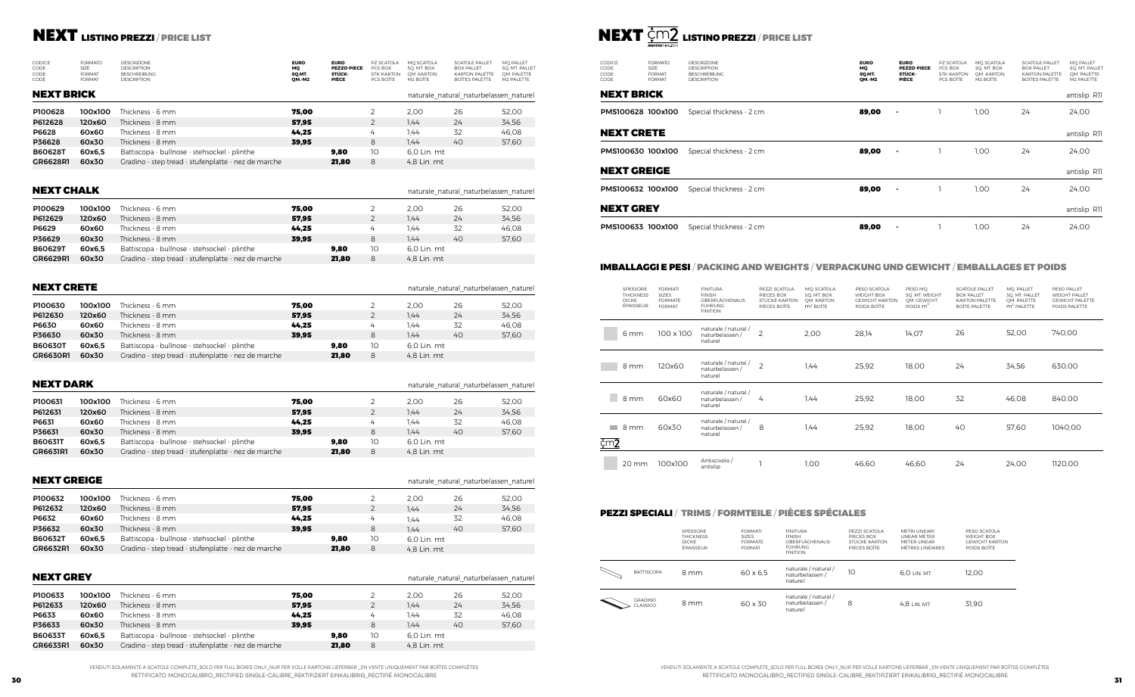## IMBALLAGGI E PESI / PACKING AND WEIGHTS / VERPACKUNG UND GEWICHT / EMBALLAGES ET POIDS



|                       | SPESSORE<br><b>THICKNESS</b><br><b>DICKE</b><br>ÉPAISSEUR | <b>FORMATI</b><br><b>SIZES</b><br><b>FORMATE</b><br><b>FORMAT</b> | <b>FINITURA</b><br><b>FINISH</b><br>OBERFLÄCHENAUS-<br><b>FÜHRUNG</b><br><b>FINITION</b> | PEZZI SCATOLA<br>PIECES BOX<br>STÜCKE KARTON<br>PIÈCES BOÎTE | MO. SCATOLA<br>SQ. MT. BOX<br>OM. KARTON<br>$m2$ BOÎTE | PESO SCATOLA<br><b>WEIGHT BOX</b><br><b>GEWICHT KARTON</b><br>POIDS BOITE | PESO MQ.<br>SO. MT. WEIGHT<br>QM. GEWICHT<br>POIDS $m2$ | <b>SCATOLE PALLET</b><br><b>BOX PALLET</b><br><b>KARTON PALETTE</b><br><b>BOÎTE PALETTE</b> | MQ. PALLET<br>SO. MT. PALLET<br>OM. PALETTE<br>$m2$ PALETTE | PESO PALLET<br><b>WEIGHT PALLET</b><br><b>GEWICHT PALETTE</b><br>POIDS PALETTE |
|-----------------------|-----------------------------------------------------------|-------------------------------------------------------------------|------------------------------------------------------------------------------------------|--------------------------------------------------------------|--------------------------------------------------------|---------------------------------------------------------------------------|---------------------------------------------------------|---------------------------------------------------------------------------------------------|-------------------------------------------------------------|--------------------------------------------------------------------------------|
|                       | 6 mm                                                      | 100 x 100                                                         | naturale / natural /<br>naturbelassen /<br>naturel                                       | $\overline{2}$                                               | 2,00                                                   | 28,14                                                                     | 14,07                                                   | 26                                                                                          | 52,00                                                       | 740,00                                                                         |
|                       | 8 mm                                                      | 120x60                                                            | naturale / natural /<br>naturbelassen /<br>naturel                                       | $\overline{2}$                                               | 1.44                                                   | 25,92                                                                     | 18,00                                                   | 24                                                                                          | 34,56                                                       | 630,00                                                                         |
|                       | 8 mm                                                      | 60x60                                                             | naturale / natural /<br>naturbelassen /<br>naturel                                       | 4                                                            | 1,44                                                   | 25,92                                                                     | 18,00                                                   | 32                                                                                          | 46,08                                                       | 840,00                                                                         |
| <b>College</b><br>¢m2 | 8 mm                                                      | 60x30                                                             | naturale / natural /<br>naturbelassen /<br>naturel                                       | 8                                                            | 1,44                                                   | 25,92                                                                     | 18,00                                                   | 40                                                                                          | 57,60                                                       | 1040,00                                                                        |
|                       | 20 mm                                                     | 100x100                                                           | Antiscivolo /<br>antislip                                                                | э                                                            | 1,00                                                   | 46,60                                                                     | 46,60                                                   | 24                                                                                          | 24,00                                                       | 1120,00                                                                        |

|                           | SPESSORE<br><b>THICKNESS</b><br><b>DICKE</b><br>ÉPAISSEUR | <b>FORMATI</b><br><b>SIZES</b><br><b>FORMATE</b><br><b>FORMAT</b> | <b>FINITURA</b><br><b>FINISH</b><br>OBERELÄCHENAUS-<br><b>FÜHRUNG</b><br><b>FINITION</b> | PEZZLSCATOLA<br>PIECES BOX<br>STÜCKE KARTON<br>PIÈCES BOÎTE | MFTRI I INFARI<br><b>IINFAR METER</b><br>MFTFR LINFAR<br>MÈTRES UNÉAIRES | PESO SCATOLA<br>WEIGHT BOX<br><b>GEWICHT KARTON</b><br>POIDS BOÎTE |
|---------------------------|-----------------------------------------------------------|-------------------------------------------------------------------|------------------------------------------------------------------------------------------|-------------------------------------------------------------|--------------------------------------------------------------------------|--------------------------------------------------------------------|
| <b>BATTISCOPA</b>         | 8 mm                                                      | $60 \times 6.5$                                                   | naturale / natural /<br>naturbelassen /<br>naturel                                       | 10                                                          | 6.0 LIN. MT.                                                             | 12,00                                                              |
| <b>GRADINO</b><br>LASSICO | 8 mm                                                      | 60 x 30                                                           | naturale / natural /<br>naturbelassen /<br>naturel                                       | 8                                                           | 4.8 LIN. MT.                                                             | 31.90                                                              |

| <b>CODICE</b><br>CODE | <b>FORMATO</b><br>SI <sub>7</sub> F | <b>DESCE</b><br><b>DESCE</b> |
|-----------------------|-------------------------------------|------------------------------|
| CODE                  | <b>FORMAT</b>                       | <b>BESCH</b>                 |
| CODE                  | <b>FORMAT</b>                       | <b>DESCE</b>                 |

## **NEXT** LISTINO PREZZI / PRICE LIST

| CODICE<br><b>CODE</b><br><b>CODE</b><br>CODE | <b>FORMATO</b><br><b>SIZE</b><br><b>FORMAT</b><br><b>FORMAT</b> | <b>DESCRIZIONE</b><br><b>DESCRIPTION</b><br><b>BESCHREIBUNG</b><br><b>DESCRIPTION</b> | <b>EURO</b><br>MQ<br>SQ.MT.<br>QM.-M2 | <b>EURO</b><br><b>PEZZO-PIECE</b><br>STÜCK-<br>PIÈCE | PZ SCATOLA<br>PCS BOX<br><b>STK-KARTON</b><br>PCS BOÎTE | MQ SCATOLA<br>SO. MT. BOX<br>OM. KARTON<br>M2 BOÎTE | <b>SCATOLE PALLET</b><br><b>BOX PALLET</b><br><b>KARTON PALETTE</b><br>BOÎTES PALETTE | MO PALLET<br>SQ. MT. PALLET<br>OM. PALETTE<br>M2 PALETTE |
|----------------------------------------------|-----------------------------------------------------------------|---------------------------------------------------------------------------------------|---------------------------------------|------------------------------------------------------|---------------------------------------------------------|-----------------------------------------------------|---------------------------------------------------------------------------------------|----------------------------------------------------------|
| <b>NEXT BRICK</b>                            |                                                                 |                                                                                       |                                       |                                                      |                                                         |                                                     | naturale natural naturbelassen naturel                                                |                                                          |
| P100628                                      | 100x100                                                         | Thickness - 6 mm                                                                      | 75.00                                 |                                                      | 2                                                       | 2,00                                                | 26                                                                                    | 52.00                                                    |
| P612628                                      | 120x60                                                          | Thickness - 8 mm                                                                      | 57.95                                 |                                                      | $\mathbf{2}^{\prime}$                                   | 1.44                                                | 24                                                                                    | 34,56                                                    |
| P6628                                        | 60x60                                                           | Thickness - 8 mm                                                                      | 44.25                                 |                                                      | $\frac{1}{4}$                                           | 1.44                                                | 32                                                                                    | 46.08                                                    |
| P36628                                       | 60x30                                                           | Thickness - 8 mm                                                                      | 39.95                                 |                                                      | 8                                                       | 1.44                                                | 40                                                                                    | 57.60                                                    |
| <b>B60628T</b>                               | 60x6.5                                                          | Battiscopa - bullnose - stehsockel - plinthe                                          |                                       | 9.80                                                 | 10                                                      | 6.0 Lin. mt                                         |                                                                                       |                                                          |
| GR6628R1                                     | 60x30                                                           | Gradino - step tread - stufenplatte - nez de marche                                   |                                       | 21,80                                                | 8                                                       | 4,8 Lin. mt                                         |                                                                                       |                                                          |

## PEZZI SPECIALI / TRIMS / FORMTEILE / PIÈCES SPÉCIALES

| <b>CODICE</b><br>CODE<br>CODE<br>CODE | <b>FORMATO</b><br>SIZE<br><b>FORMAT</b><br><b>FORMAT</b> | <b>DESCRIZIONE</b><br><b>DESCRIPTION</b><br><b>BESCHREIBUNG</b><br><b>DESCRIPTION</b> | <b>EURO</b><br><b>MQ</b><br>SQ.MT.<br><b>QM.-M2</b> | <b>EURO</b><br><b>PEZZO-PIECE</b><br>STÜCK-<br>PIÈCE | PZ SCATOLA<br>PCS BOX<br>STK-KARTON<br>PCS BOÎTE | MQ SCATOLA<br>SO. MT. BOX<br>OM. KARTON<br>M <sub>2</sub> BOÎTE | <b>SCATOLE PALLET</b><br><b>BOX PALLET</b><br><b>KARTON PALETTE</b><br><b>BOÎTES PALETTE</b> | MQ PALLET<br>SQ. MT. PALLET<br>QM. PALETTE<br>M2 PALETTE |
|---------------------------------------|----------------------------------------------------------|---------------------------------------------------------------------------------------|-----------------------------------------------------|------------------------------------------------------|--------------------------------------------------|-----------------------------------------------------------------|----------------------------------------------------------------------------------------------|----------------------------------------------------------|
| NEXT BRICK                            |                                                          |                                                                                       |                                                     |                                                      |                                                  |                                                                 |                                                                                              | antislip R11                                             |
| PMS100628 100x100                     |                                                          | Special thickness - 2 cm                                                              | 89,00                                               | ٠                                                    |                                                  | 1,00                                                            | 24                                                                                           | 24,00                                                    |
| <b>NEXT CRETE</b>                     |                                                          |                                                                                       |                                                     |                                                      |                                                  |                                                                 |                                                                                              | antislip R11                                             |
| PMS100630 100x100                     |                                                          | Special thickness - 2 cm                                                              | 89,00                                               | $\blacksquare$                                       |                                                  | 1,00                                                            | 24                                                                                           | 24,00                                                    |
| NEXT GREIGE                           |                                                          |                                                                                       |                                                     |                                                      |                                                  |                                                                 |                                                                                              | antislip R11                                             |
| PMS100632 100x100                     |                                                          | Special thickness - 2 cm                                                              | 89,00                                               | $\blacksquare$                                       |                                                  | 1,00                                                            | 24                                                                                           | 24,00                                                    |
| NEXT GREY                             |                                                          |                                                                                       |                                                     |                                                      |                                                  |                                                                 |                                                                                              | antislip R11                                             |
| PMS100633 100x100                     |                                                          | Special thickness - 2 cm                                                              | 89,00                                               |                                                      |                                                  | 1,00                                                            | 24                                                                                           | 24,00                                                    |

## NEXT BRICK

## NEXT CRETE

## NEXT GREIGE

| P100629        | 100x100 | Thickness - 6 mm                                    | 75,00 |       |    | 2.00        | 26 | 52,00 | <b>NEXT GREY</b> |  |
|----------------|---------|-----------------------------------------------------|-------|-------|----|-------------|----|-------|------------------|--|
| P612629        | 120x60  | Thickness - 8 mm                                    | 57,95 |       |    | 1.44        | 24 | 34,56 |                  |  |
| P6629          | 60x60   | Thickness - 8 mm                                    | 44,25 |       |    | 1.44        |    | 46,08 | PMS100633 100    |  |
| P36629         | 60x30   | Thickness - 8 mm                                    | 39.95 |       | 8  | 1.44        | 40 | 57,60 |                  |  |
| <b>B60629T</b> | 60x6.5  | Battiscopa - bullnose - stehsockel - plinthe        |       | 9,80  | 10 | 6.0 Lin. mt |    |       |                  |  |
| GR6629R1       | 60x30   | Gradino - step tread - stufenplatte - nez de marche |       | 21,80 | 8  | 4.8 Lin. mt |    |       |                  |  |

naturale\_natural\_naturbelassen\_naturel

## NEXT CHALK

| <b>NEXT CRETE</b><br>naturale natural naturbelassen naturel |         |                                                     |       |       |    |             |    |       |  |
|-------------------------------------------------------------|---------|-----------------------------------------------------|-------|-------|----|-------------|----|-------|--|
| P100630                                                     | 100x100 | Thickness - 6 mm                                    | 75.00 |       |    | 2.00        | 26 | 52.00 |  |
| P612630                                                     | 120x60  | Thickness - 8 mm                                    | 57,95 |       |    | 7.44        | 24 | 34,56 |  |
| P6630                                                       | 60x60   | Thickness - 8 mm                                    | 44.25 |       | 4  | 1.44        | 32 | 46,08 |  |
| P36630                                                      | 60x30   | Thickness - 8 mm                                    | 39.95 |       | 8  | 1.44        | 40 | 57,60 |  |
| <b>B60630T</b>                                              | 60x6.5  | Battiscopa - bullnose - stehsockel - plinthe        |       | 9.80  | 10 | 6,0 Lin. mt |    |       |  |
| <b>GR6630R1</b>                                             | 60x30   | Gradino - step tread - stufenplatte - nez de marche |       | 21,80 | 8  | 4,8 Lin. mt |    |       |  |

|                | <b>NEXT DARK</b> |                                                     |       |       |    |             |    | naturale natural naturbelassen naturel |  |  |  |
|----------------|------------------|-----------------------------------------------------|-------|-------|----|-------------|----|----------------------------------------|--|--|--|
| P100631        | 100x100          | Thickness - 6 mm                                    | 75.00 |       | 2  | 2,00        | 26 | 52,00                                  |  |  |  |
| P612631        | 120x60           | Thickness - 8 mm                                    | 57,95 |       | 2  | 1.44        | 24 | 34,56                                  |  |  |  |
| P6631          | 60x60            | Thickness - 8 mm                                    | 44.25 |       | 4  | 1.44        | 32 | 46.08                                  |  |  |  |
| P36631         | 60x30            | Thickness - 8 mm                                    | 39.95 |       | 8  | 1.44        | 40 | 57,60                                  |  |  |  |
| <b>B60631T</b> | 60x6.5           | Battiscopa - bullnose - stehsockel - plinthe        |       | 9.80  | 10 | 6.0 Lin. mt |    |                                        |  |  |  |
| GR6631R1       | 60x30            | Gradino - step tread - stufenplatte - nez de marche |       | 21,80 | 8  | 4,8 Lin. mt |    |                                        |  |  |  |

| <b>NEXT GREIGE</b> |         |                                                     | naturale natural_naturbelassen_naturel |       |                |             |    |       |
|--------------------|---------|-----------------------------------------------------|----------------------------------------|-------|----------------|-------------|----|-------|
| P100632            | 100x100 | Thickness - 6 mm                                    | 75.00                                  |       |                | 2.00        | 26 | 52,00 |
| P612632            | 120x60  | Thickness - 8 mm                                    | 57.95                                  |       | $\overline{2}$ | 1.44        | 24 | 34,56 |
| P6632              | 60x60   | Thickness - 8 mm                                    | 44.25                                  |       | 4              | 1.44        | 32 | 46,08 |
| P36632             | 60x30   | Thickness - 8 mm                                    | 39.95                                  |       | 8              | 1.44        | 40 | 57,60 |
| <b>B60632T</b>     | 60x6.5  | Battiscopa - bullnose - stehsockel - plinthe        |                                        | 9,80  | 10             | 6.0 Lin. mt |    |       |
| GR6632R1           | 60x30   | Gradino - step tread - stufenplatte - nez de marche |                                        | 21,80 | 8              | 4.8 Lin. mt |    |       |

| <b>NEXT GREY</b> |         |                                                     |       |       |    |             | naturale natural naturbelassen naturel |       |  |
|------------------|---------|-----------------------------------------------------|-------|-------|----|-------------|----------------------------------------|-------|--|
| P100633          | 100x100 | Thickness - 6 mm                                    | 75.00 |       |    | 2.00        | 26                                     | 52.00 |  |
| P612633          | 120x60  | Thickness - 8 mm                                    | 57.95 |       |    | 1.44        | 24                                     | 34,56 |  |
| P6633            | 60x60   | Thickness - 8 mm                                    | 44.25 |       | 4  | 1.44        | 32                                     | 46.08 |  |
| P36633           | 60x30   | Thickness - 8 mm                                    | 39.95 |       | 8  | 1.44        | 40                                     | 57.60 |  |
| <b>B60633T</b>   | 60x6.5  | Battiscopa - bullnose - stehsockel - plinthe        |       | 9.80  | 10 | 6.0 Lin. mt |                                        |       |  |
| GR6633R1         | 60x30   | Gradino - step tread - stufenplatte - nez de marche |       | 21,80 | 8  | 4.8 Lin. mt |                                        |       |  |